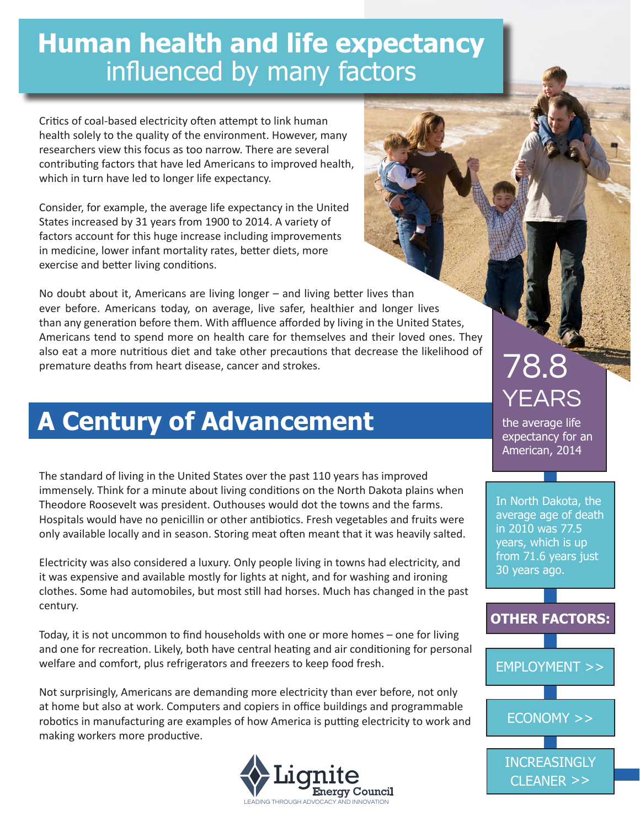# **Human health and life expectancy** influenced by many factors

Critics of coal-based electricity often attempt to link human health solely to the quality of the environment. However, many researchers view this focus as too narrow. There are several contributing factors that have led Americans to improved health, which in turn have led to longer life expectancy.

Consider, for example, the average life expectancy in the United States increased by 31 years from 1900 to 2014. A variety of factors account for this huge increase including improvements in medicine, lower infant mortality rates, better diets, more exercise and better living conditions.

No doubt about it, Americans are living longer – and living better lives than ever before. Americans today, on average, live safer, healthier and longer lives than any generation before them. With affluence afforded by living in the United States, Americans tend to spend more on health care for themselves and their loved ones. They also eat a more nutritious diet and take other precautions that decrease the likelihood of premature deaths from heart disease, cancer and strokes.

## **A Century of Advancement**

The standard of living in the United States over the past 110 years has improved immensely. Think for a minute about living conditions on the North Dakota plains when Theodore Roosevelt was president. Outhouses would dot the towns and the farms. Hospitals would have no penicillin or other antibiotics. Fresh vegetables and fruits were only available locally and in season. Storing meat often meant that it was heavily salted.

Electricity was also considered a luxury. Only people living in towns had electricity, and it was expensive and available mostly for lights at night, and for washing and ironing clothes. Some had automobiles, but most still had horses. Much has changed in the past century.

Today, it is not uncommon to find households with one or more homes – one for living and one for recreation. Likely, both have central heating and air conditioning for personal welfare and comfort, plus refrigerators and freezers to keep food fresh.

Not surprisingly, Americans are demanding more electricity than ever before, not only at home but also at work. Computers and copiers in office buildings and programmable robotics in manufacturing are examples of how America is putting electricity to work and making workers more productive.



78.8 YEARS

the average life expectancy for an American, 2014

In North Dakota, the average age of death in 2010 was 77.5 years, which is up from 71.6 years just 30 years ago.

#### **OTHER FACTORS:**



ECONOMY >>

**INCREASINGLY** CLEANER >>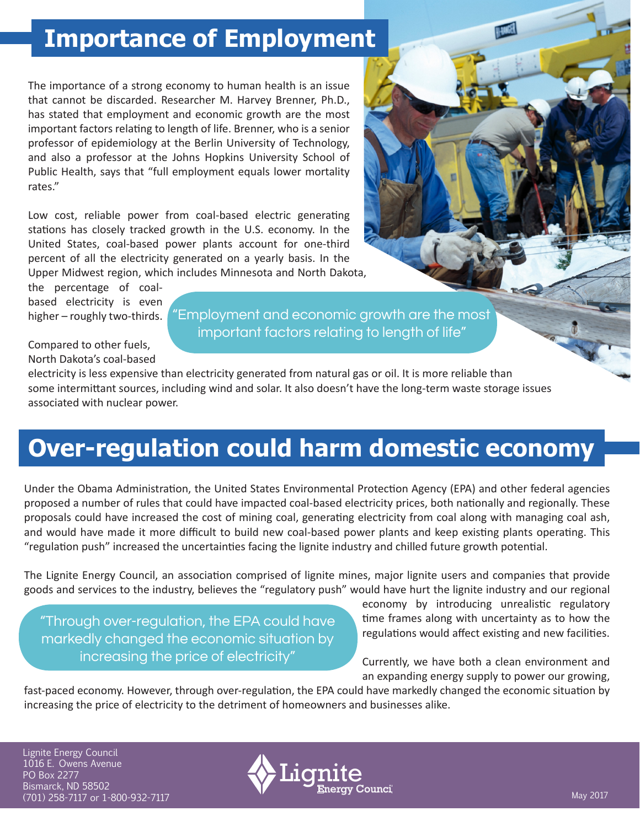## **Importance of Employment**

The importance of a strong economy to human health is an issue that cannot be discarded. Researcher M. Harvey Brenner, Ph.D., has stated that employment and economic growth are the most important factors relating to length of life. Brenner, who is a senior professor of epidemiology at the Berlin University of Technology, and also a professor at the Johns Hopkins University School of Public Health, says that "full employment equals lower mortality rates."

Low cost, reliable power from coal-based electric generating stations has closely tracked growth in the U.S. economy. In the United States, coal-based power plants account for one-third percent of all the electricity generated on a yearly basis. In the Upper Midwest region, which includes Minnesota and North Dakota,

the percentage of coalbased electricity is even higher – roughly two-thirds.

"Employment and economic growth are the most important factors relating to length of life"

Compared to other fuels, North Dakota's coal-based

electricity is less expensive than electricity generated from natural gas or oil. It is more reliable than some intermittant sources, including wind and solar. It also doesn't have the long-term waste storage issues associated with nuclear power.

# **Over-regulation could harm domestic economy**

Under the Obama Administration, the United States Environmental Protection Agency (EPA) and other federal agencies proposed a number of rules that could have impacted coal-based electricity prices, both nationally and regionally. These proposals could have increased the cost of mining coal, generating electricity from coal along with managing coal ash, and would have made it more difficult to build new coal-based power plants and keep existing plants operating. This "regulation push" increased the uncertainties facing the lignite industry and chilled future growth potential.

The Lignite Energy Council, an association comprised of lignite mines, major lignite users and companies that provide goods and services to the industry, believes the "regulatory push" would have hurt the lignite industry and our regional

#### "Through over-regulation, the EPA could have markedly changed the economic situation by increasing the price of electricity"

economy by introducing unrealistic regulatory time frames along with uncertainty as to how the regulations would affect existing and new facilities.

Currently, we have both a clean environment and an expanding energy supply to power our growing,

fast-paced economy. However, through over-regulation, the EPA could have markedly changed the economic situation by increasing the price of electricity to the detriment of homeowners and businesses alike.

Lignite Energy Council 1016 E. Owens Avenue PO Box 2277 Bismarck, ND 58502

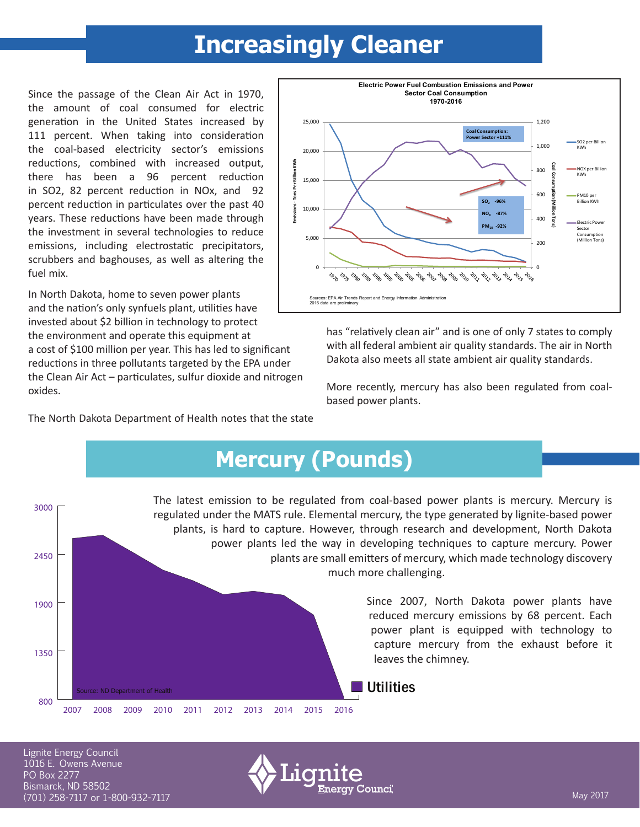## **Increasingly Cleaner**

Since the passage of the Clean Air Act in 1970, the amount of coal consumed for electric generation in the United States increased by 111 percent. When taking into consideration the coal-based electricity sector's emissions reductions, combined with increased output, there has been a 96 percent reduction in SO2, 82 percent reduction in NOx, and 92 percent reduction in particulates over the past 40 years. These reductions have been made through the investment in several technologies to reduce emissions, including electrostatic precipitators, scrubbers and baghouses, as well as altering the fuel mix.

In North Dakota, home to seven power plants and the nation's only synfuels plant, utilities have invested about \$2 billion in technology to protect the environment and operate this equipment at a cost of \$100 million per year. This has led to significant reductions in three pollutants targeted by the EPA under the Clean Air Act – particulates, sulfur dioxide and nitrogen oxides.

The North Dakota Department of Health notes that the state



has "relatively clean air" and is one of only 7 states to comply with all federal ambient air quality standards. The air in North Dakota also meets all state ambient air quality standards.

More recently, mercury has also been regulated from coalbased power plants.